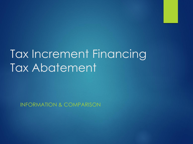# Tax Increment Financing Tax Abatement

INFORMATION & COMPARISON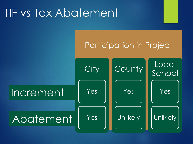## TIF vs Tax Abatement

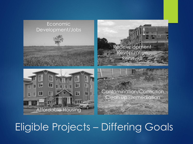

## Eligible Projects – Differing Goals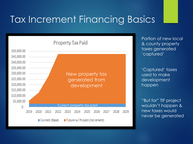### Tax Increment Financing Basics



Portion of new local & county property taxes generated 'captured'

'Captured' taxes used to make development happen

"But for" TIF project wouldn't happen & new taxes would never be generated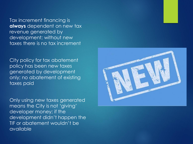Tax increment financing is **always** dependent on new tax revenue generated by development; without new taxes there is no tax increment

City policy for tax abatement policy has been new taxes generated by development only; no abatement of existing taxes paid

Only using new taxes generated means the City is not 'giving' developer money; if the development didn't happen the TIF or abatement wouldn't be available

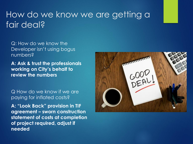#### How do we know we are getting a fair deal?

Q: How do we know the Developer isn't using bogus numbers?

**A: Ask & trust the professionals working on City's behalf to review the numbers**

Q How do we know if we are paying for inflated costs?

**A: "Look Back" provision in TIF agreement – sworn construction statement of costs at completion of project required, adjust if needed**

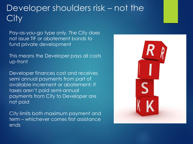#### Developer shoulders risk – not the ity

Pay-as-you-go type only. The City does not issue TIF or abatement bonds to fund private development

This means the Developer pays all costs up-front

Developer finances cost and receives semi annual payments from part of available increment or abatement; if taxes aren't paid semi-annual payments from City to Developer are not paid

City limits both maximum payment and term – whichever comes first assistance ends